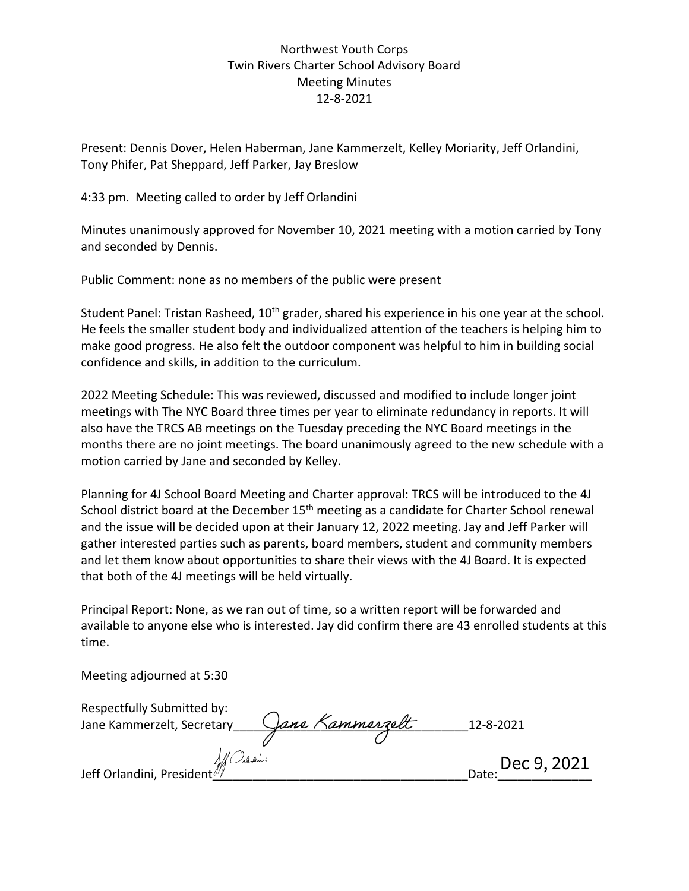## Northwest Youth Corps Twin Rivers Charter School Advisory Board Meeting Minutes 12-8-2021

Present: Dennis Dover, Helen Haberman, Jane Kammerzelt, Kelley Moriarity, Jeff Orlandini, Tony Phifer, Pat Sheppard, Jeff Parker, Jay Breslow

4:33 pm. Meeting called to order by Jeff Orlandini

Minutes unanimously approved for November 10, 2021 meeting with a motion carried by Tony and seconded by Dennis.

Public Comment: none as no members of the public were present

Student Panel: Tristan Rasheed, 10<sup>th</sup> grader, shared his experience in his one year at the school. He feels the smaller student body and individualized attention of the teachers is helping him to make good progress. He also felt the outdoor component was helpful to him in building social confidence and skills, in addition to the curriculum.

2022 Meeting Schedule: This was reviewed, discussed and modified to include longer joint meetings with The NYC Board three times per year to eliminate redundancy in reports. It will also have the TRCS AB meetings on the Tuesday preceding the NYC Board meetings in the months there are no joint meetings. The board unanimously agreed to the new schedule with a motion carried by Jane and seconded by Kelley.

Planning for 4J School Board Meeting and Charter approval: TRCS will be introduced to the 4J School district board at the December 15<sup>th</sup> meeting as a candidate for Charter School renewal and the issue will be decided upon at their January 12, 2022 meeting. Jay and Jeff Parker will gather interested parties such as parents, board members, student and community members and let them know about opportunities to share their views with the 4J Board. It is expected that both of the 4J meetings will be held virtually.

Principal Report: None, as we ran out of time, so a written report will be forwarded and available to anyone else who is interested. Jay did confirm there are 43 enrolled students at this time.

Meeting adjourned at 5:30

| Respectfully Submitted by:<br>Jane Kammerzelt, Secretary | Jane Kammerzelt | 12-8-2021            |
|----------------------------------------------------------|-----------------|----------------------|
|                                                          |                 |                      |
| Af Orlani<br>Jeff Orlandini, President <sup>///</sup>    |                 | Dec 9, 2021<br>Date: |